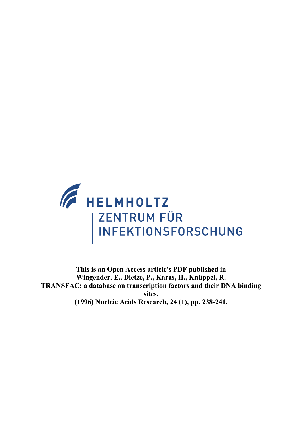

**This is an Open Access article's PDF published in Wingender, E., Dietze, P., Karas, H., Knüppel, R. TRANSFAC: a database on transcription factors and their DNA binding sites. (1996) Nucleic Acids Research, 24 (1), pp. 238-241.**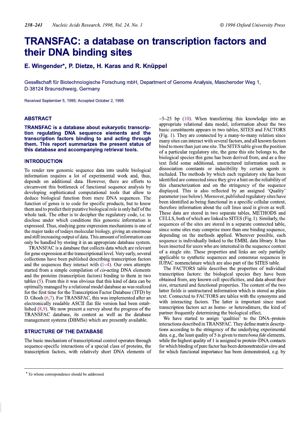# **TRANSFAC: a database on transcription factors and** their DNA binding sites

# E. Wingender\*, P. Dietze, H. Karas and R. Knüppel

Gesellschaft für Biotechnologische Forschung mbH, Department of Genome Analysis, Mascheroder Weg 1, D-38124 Braunschweig, Germany

Received September 5, 1995; Accepted October 2, 1995

## **ABSTRACT**

TRANSFAC is a database about eukaryotic transcription regulating DNA sequence elements and the transcription factors binding to and acting through them. This report summarizes the present status of this database and accompanying retrieval tools.

## **INTRODUCTION**

To render raw genomic sequence data into usable biological information requires a lot of experimental work and, thus, depends on additional data. However, there are efforts to circumvent this bottleneck of functional sequence analysis by developing sophisticated computational tools that allow to deduce biological function from mere DNA sequences. The function of genes is to code for specific products, but to know them and to predict their putative biological role is only half of the whole task. The other is to decipher the regulatory code, i.e. to disclose under which conditions this genomic information is expressed. Thus, studying gene expression mechanisms is one of the major tasks of todays molecular biology, giving an enormous and still increasing output of data. This amount of information can only be handled by storing it in an appropriate database system.

TRANSFAC is a database that collects data which are relevant for gene expression at the transcriptional level. Very early, several collections have been published describing transcription factors and the sequences they interact with  $(1-4)$ . Our own attempts started from a simple compilation of *cis*-acting DNA elements and the proteins (transcription factors) binding to them in two tables (5). From this it was obvious that this kind of data can be optimally managed by a relational model database as was realized for the first time for the Transcription Factor Database (TFD) by D. Ghosh  $(6,7)$ . For TRANSFAC, this was implemented after an electronically readable ASCII flat file version had been established  $(8,9)$ . We now present a survey about the progress of the TRANSFAC database, its content as well as the database management systems (DBMSs) which are presently available.

## **STRUCTURE OF THE DATABASE**

The basic mechanism of transcriptional control operates through sequence-specific interactions of a special class of proteins, the transcription factors, with relatively short DNA elements of  $\sim$  5–25 bp (10). When transferring this knowledge into an appropriate relational data model, information about the two basic constituents appears in two tables, SITES and FACTORS (Fig. 1). They are connected by a many-to-many relation since many sites can interact with several factors, and all known factors bind to more than just one site. The SITES table gives the position of a particular regulatory site, the gene this site belongs to, the biological species this gene has been derived from, and as a free text field some additional, unstructured information such as dissociation constants or inducibility by certain agents is included. The methods by which each regulatory site has been identified are connected since they give a hint on the reliability of this characterization and on the stringency of the sequence displayed. This is also reflected by an assigned 'Quality' parameter (see below). Moreover, published regulatory sites have been identified as being functional in a specific cellular context, therefore information about the cell lines used is given as well. These data are stored in two separate tables, METHODS and CELLS, both of which are linked to SITES (Fig. 1). Similarly, the sequences of the sites are stored in a separate connected table, since some sites may comprise more than one binding sequence, depending on the methods applied. Wherever possible, each sequence is individually linked to the EMBL data library. It has been inserted for users who are interested in the sequence context of a single site. These properties and links are only partially applicable to synthetic sequences and consensus sequences in IUPAC nomenclature which are also part of the SITES table.

The FACTORS table describes the properties of individual transcription factors: the biological species they have been obtained from, any known cell specificities, and data about their size, structural and functional properties. The content of the two latter fields is unstructured information which is stored as plain text. Connected to FACTORS are tables with the synonyms and with interacting factors. The latter is important since most transcription factors act as homo- or heterodimers, the kind of partner frequently determining the biological effect.

We have started to assign 'qualities' to the DNA-protein interactions described in TRANSFAC. They define matrix descriptions according to the stringency of the underlying experimental data. e.g., the least quality of 5 is given to mere *bona fide* elements, while the highest quality of 1 is assigned to protein–DNA contacts for which binding of pure factor has been demonstrated in vitro and for which functional importance has been demonstrated, e.g. by

<sup>\*</sup> To whom correspondence should be addressed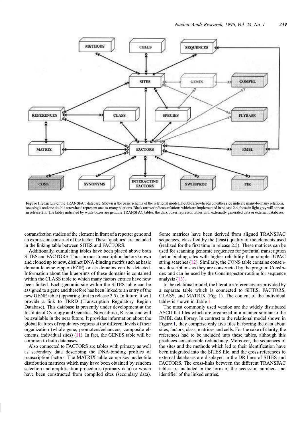

Figure 1. Structure of the TRANSFAC database. Shown is the basic schema of the relational model. Double arrowheads on either side indicate many-to-many relations, one single and one double arrowhead represent one-to-many relations. Black arrows indicate relations which are implemented in release 2.4, those in light grey will appear in release 2.5. The tables indicated by white boxes are genuine TRANSFAC tables, the dark boxes represent tables with externally generated data or external databases.

cotransfection studies of the element in front of a reporter gene and an expression construct of the factor. These 'qualities' are included in the linking table between SITES and FACTORS.

Additionally, cumulating tables have been placed above both SITES and FACTORS. Thus, in most transcription factors known and cloned up to now, distinct DNA-binding motifs such as basic domain-leucine zipper (bZIP) or ets-domains can be detected. Information about the blueprints of these domains is contained within the CLASS table to which many factors entries have now been linked. Each genomic site within the SITES table can be assigned to a gene and therefore has been linked to an entry of the new GENE table (appearing first in release 2.5). In future, it will provide a link to TRRD (Transcription Regulatory Region Database). This database is presently under development at the Institute of Cytology and Genetics, Novosibirsk, Russia, and will be available in the near future. It provides information about the global features of regulatory regions at the different levels of their organization (whole gene, promoters/enhancers, composite elements, individual sites)  $(11)$ . In fact, the GENES table will be common to both databases.

Also connected to FACTORS are tables with primary as well as secondary data describing the DNA-binding profiles of transcription factors. The MATRIX table comprises nucleotide distribution matrices which may have been obtained by random selection and amplification procedures (primary data) or which have been constructed from compiled sites (secondary data).

Some matrices have been derived from aligned TRANSFAC sequences, classified by the (least) quality of the elements used (realized for the first time in release 2.5). These matrices can be used for scanning genomic sequences for potential transcription factor binding sites with higher reliability than simple IUPAC string searches  $(12)$ . Similarly, the CONS table contains consensus descriptions as they are constructed by the program ConsIndex and can be used by the ConsInspector routine for sequence analysis (13).

In the relational model, the literature references are provided by a separate table which is connected to SITES, FACTORS, CLASS, and MATRIX (Fig. 1). The content of the individual tables is shown in Table 1.

The most commonly used version are the widely distributed ASCII flat files which are organized in a manner similar to the EMBL data library. In contrast to the relational model shown in Figure 1, they comprise only five files harboring the data about sites, factors, class, matrices and cells. For the sake of clarity, the references had to be included into these tables, although this produces considerable redundancy. Moreover, the sequences of the sites and the methods which led to their identification have been integrated into the SITES file, and the cross-references to external databases are displayed in the DR lines of SITES and FACTORS. The cross-links between the different TRANSFAC tables are included in the form of the accession numbers and identifier of the linked entries.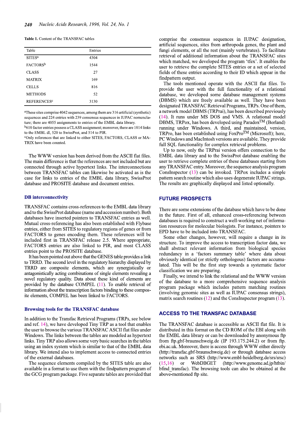| <b>Table 1.</b> Content of the TRANSFAC tables |  |  |  |  |  |  |  |  |
|------------------------------------------------|--|--|--|--|--|--|--|--|
|------------------------------------------------|--|--|--|--|--|--|--|--|

| Table                         | Entries |
|-------------------------------|---------|
| <b>SITES<sup>a</sup></b>      | 4304    |
| FACTORS <sup>b</sup>          | 1544    |
| <b>CLASS</b>                  | 27      |
| <b>MATRIX</b>                 | 169     |
| <b>CELLS</b>                  | 816     |
| <b>METHODS</b>                | 52      |
| <b>REFERENCES<sup>c</sup></b> | 3130    |

<sup>a</sup>These sites comprise 4042 sequences, among them are 316 artificial (synthetic) sequences and 224 entries with 239 consensus sequences in IUPAC nomenclature; there are 4055 assignments to entries of the EMBL data library

 $b610$  factor entries possess a CLASS assignment; moreover, there are 1014 links to the EMBL dl, 520 to SwissProt, and 514 to PIR.

<sup>c</sup>Only references that are linked to either SITES, FACTORS, CLASS or MA-TRIX have been counted.

The WWW version has been derived from the ASCII flat files. The main difference is that the references are not included but are connected through active hypertext links. The interconnections between TRANSFAC tables can likewise be activated as is the case for links to entries of the EMBL data library, SwissProt database and PROSITE database and document entries.

## **DB** interconnectivity

TRANSFAC contains cross-references to the EMBL data library and to the SwissProt database (name and accession number). Both databases have inserted pointers to TRANSFAC entries as well. Mutual cross-referencing has also been established with Flybase entries, either from SITES to regulatory regions of genes or from FACTORS to genes encoding them. These references will be included first in TRANSFAC release 2.5. Where appropriate, FACTORS entries are also linked to PIR, and most CLASS entries point to the PROSITE database.

It has been pointed out above that the GENES table provides a link to TRRD. The second level in the regulatory hierarchy displayed by TRRD are composite elements, which are synergistically or antagonistically acting combinations of single elements revealing a novel regulatory quality. Data about these kind of elements are provided by the database COMPEL  $(11)$ . To enable retrieval of information about the transcription factors binding to these composite elements, COMPEL has been linked to FACTORS.

#### **Browsing tools for the TRANSFAC database**

In addition to the Transfac Retrieval Programs (TRPs, see below and ref. 14), we have developed Tiny TRP as a tool that enables the user to browse the various TRANSFAC ASCII flat files under Windows. The links between the tables are modeled as hypertext links. Tiny TRP also allows some very basic searches in the tables using an index system which is similar to that of the EMBL data library. We intend also to implement access to connected entries of the external databases.

The sequence elements compiled by the SITES table are also available in a format to use them with the findpattern program of the GCG program package. Five separate tables are provided that comprise the consensus sequences in IUPAC designation, artificial sequences, sites from arthropoda genes, the plant and fungi elements, or all the rest (mainly vertebrates). To facilitate retrieval of additional information about the TRANSFAC sites which matched, we developed the program 'tfex'. It enables the user to retrieve the complete SITES entries or a set of selected fields of these entries according to their ID which appear in the findpattern output.

The tools mentioned operate with the ASCII flat files. To provide the user with the full functionality of a relational database, we developed some database management systems (DBMS) which are freely available as well. They have been designated TRANSFAC Retrieval Programs, TRPs. One of them, a network model DBMS (TRPrai), has been described previously (14). It runs under MS DOS and VMS. A relational model DBMS, TRPox, has been developed using Paradox<sup>TM</sup> (Borland) running under Windows. A third, and maintained, version, TRPro, has been established using FoxPro<sup>TM</sup> (Microsoft); here, PC Windows and MacIntosh versions are available. They provide full SQL functionality for complex retrieval problems.

Up to now, only the TRPrai version offers connection to the EMBL data library and to the SwissProt database enabling the user to retrieve complete entries of these databases starting from any TRANSFAC entry. Moreover, the sequence analysis program ConsInspector  $(13)$  can be invoked. TRPox includes a simple pattern search routine which also uses degenerate IUPAC strings. The results are graphically displayed and listed optionally.

## **FUTURE PROSPECTS**

There are some extensions of the database which have to be done in the future. First of all, enhanced cross-referencing between databases is required to construct a well-working net of information resources for molecular biologists. For instance, pointers to EPD have to be included into TRANSFAC.

Some other changes, however, will require a change in its structure. To improve the access to transcription factor data, we shall abstract relevant information from biological species redundancy in a 'factors summary table' where data about obviously identical (or strictly orthologous) factors are accumulated. This will be the first step towards a systematic factor classification we are preparing.

Finally, we intend to link the relational and the WWW version of the database to a more comprehensive sequence analysis program package which includes pattern matching routines (involving genomic sites as well as IUPAC consensus strings), matrix search routines  $(12)$  and the ConsInspector program  $(13)$ .

## **ACCESS TO THE TRANSFAC DATABASE**

The TRANSFAC database is accessible as ASCII flat file. It is distributed in this format on the CD ROM of the EBI along with the EMBL data library or can be downloaded by anonymous ftp from ftp.gbf-braunschweig.de (IP 193.175.244.2) or from ftp. ebi.ac.uk. Moreover, there is access through WWW either directly (http://transfac.gbf-braunschweig.de) or through database access networks such as SRS (http://www.embl-heidelberg.de/srs/srsc) WebDBGET (http://www.genome.ad.jp/htbin/  $(15, 16)$  $\alpha$ bfind transfac). The browsing tools can also be obtained at the above-mentioned ftp site.